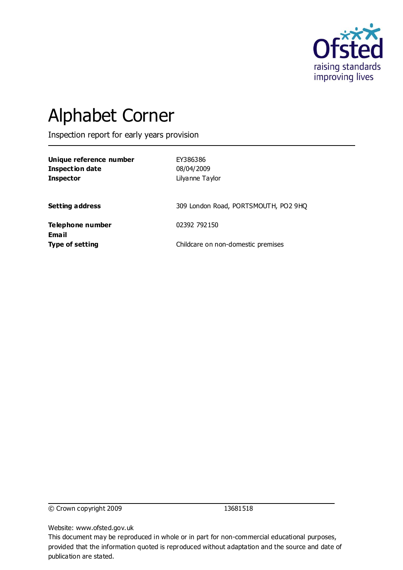

# Alphabet Corner

Inspection report for early years provision

| Unique reference number<br><b>Inspection date</b><br><b>Inspector</b> | EY386386<br>08/04/2009<br>Lilyanne Taylor |
|-----------------------------------------------------------------------|-------------------------------------------|
| <b>Setting address</b>                                                | 309 London Road, PORTSMOUTH, PO2 9HQ      |
| Telephone number<br><b>Email</b>                                      | 02392 792150                              |
| <b>Type of setting</b>                                                | Childcare on non-domestic premises        |

© Crown copyright 2009 13681518

Website: www.ofsted.gov.uk

This document may be reproduced in whole or in part for non-commercial educational purposes, provided that the information quoted is reproduced without adaptation and the source and date of publication are stated.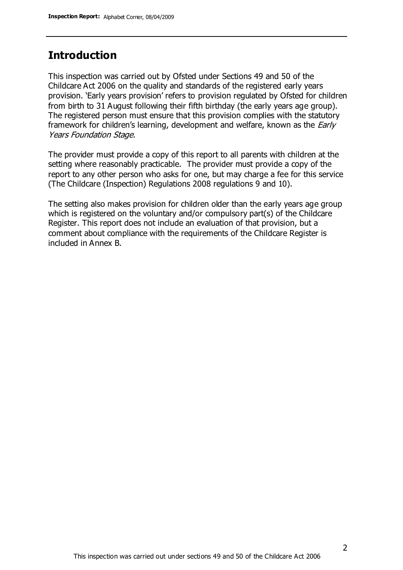### **Introduction**

This inspection was carried out by Ofsted under Sections 49 and 50 of the Childcare Act 2006 on the quality and standards of the registered early years provision. 'Early years provision' refers to provision regulated by Ofsted for children from birth to 31 August following their fifth birthday (the early years age group). The registered person must ensure that this provision complies with the statutory framework for children's learning, development and welfare, known as the *Early* Years Foundation Stage.

The provider must provide a copy of this report to all parents with children at the setting where reasonably practicable. The provider must provide a copy of the report to any other person who asks for one, but may charge a fee for this service (The Childcare (Inspection) Regulations 2008 regulations 9 and 10).

The setting also makes provision for children older than the early years age group which is registered on the voluntary and/or compulsory part(s) of the Childcare Register. This report does not include an evaluation of that provision, but a comment about compliance with the requirements of the Childcare Register is included in Annex B.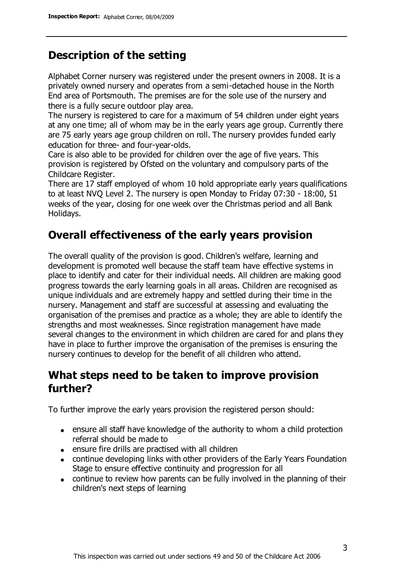# **Description of the setting**

Alphabet Corner nursery was registered under the present owners in 2008. It is a privately owned nursery and operates from a semi-detached house in the North End area of Portsmouth. The premises are for the sole use of the nursery and there is a fully secure outdoor play area.

The nursery is registered to care for a maximum of 54 children under eight years at any one time; all of whom may be in the early years age group. Currently there are 75 early years age group children on roll. The nursery provides funded early education for three- and four-year-olds.

Care is also able to be provided for children over the age of five years. This provision is registered by Ofsted on the voluntary and compulsory parts of the Childcare Register.

There are 17 staff employed of whom 10 hold appropriate early years qualifications to at least NVQ Level 2. The nursery is open Monday to Friday 07:30 - 18:00, 51 weeks of the year, closing for one week over the Christmas period and all Bank Holidays.

# **Overall effectiveness of the early years provision**

The overall quality of the provision is good. Children's welfare, learning and development is promoted well because the staff team have effective systems in place to identify and cater for their individual needs. All children are making good progress towards the early learning goals in all areas. Children are recognised as unique individuals and are extremely happy and settled during their time in the nursery. Management and staff are successful at assessing and evaluating the organisation of the premises and practice as a whole; they are able to identify the strengths and most weaknesses. Since registration management have made several changes to the environment in which children are cared for and plans they have in place to further improve the organisation of the premises is ensuring the nursery continues to develop for the benefit of all children who attend.

## **What steps need to be taken to improve provision further?**

To further improve the early years provision the registered person should:

- ensure all staff have knowledge of the authority to whom a child protection referral should be made to
- ensure fire drills are practised with all children
- continue developing links with other providers of the Early Years Foundation Stage to ensure effective continuity and progression for all
- continue to review how parents can be fully involved in the planning of their children's next steps of learning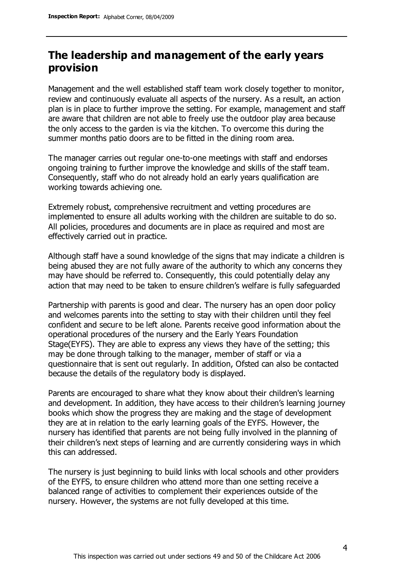# **The leadership and management of the early years provision**

Management and the well established staff team work closely together to monitor, review and continuously evaluate all aspects of the nursery. As a result, an action plan is in place to further improve the setting. For example, management and staff are aware that children are not able to freely use the outdoor play area because the only access to the garden is via the kitchen. To overcome this during the summer months patio doors are to be fitted in the dining room area.

The manager carries out regular one-to-one meetings with staff and endorses ongoing training to further improve the knowledge and skills of the staff team. Consequently, staff who do not already hold an early years qualification are working towards achieving one.

Extremely robust, comprehensive recruitment and vetting procedures are implemented to ensure all adults working with the children are suitable to do so. All policies, procedures and documents are in place as required and most are effectively carried out in practice.

Although staff have a sound knowledge of the signs that may indicate a children is being abused they are not fully aware of the authority to which any concerns they may have should be referred to. Consequently, this could potentially delay any action that may need to be taken to ensure children's welfare is fully safeguarded

Partnership with parents is good and clear. The nursery has an open door policy and welcomes parents into the setting to stay with their children until they feel confident and secure to be left alone. Parents receive good information about the operational procedures of the nursery and the Early Years Foundation Stage(EYFS). They are able to express any views they have of the setting; this may be done through talking to the manager, member of staff or via a questionnaire that is sent out regularly. In addition, Ofsted can also be contacted because the details of the regulatory body is displayed.

Parents are encouraged to share what they know about their children's learning and development. In addition, they have access to their children's learning journey books which show the progress they are making and the stage of development they are at in relation to the early learning goals of the EYFS. However, the nursery has identified that parents are not being fully involved in the planning of their children's next steps of learning and are currently considering ways in which this can addressed.

The nursery is just beginning to build links with local schools and other providers of the EYFS, to ensure children who attend more than one setting receive a balanced range of activities to complement their experiences outside of the nursery. However, the systems are not fully developed at this time.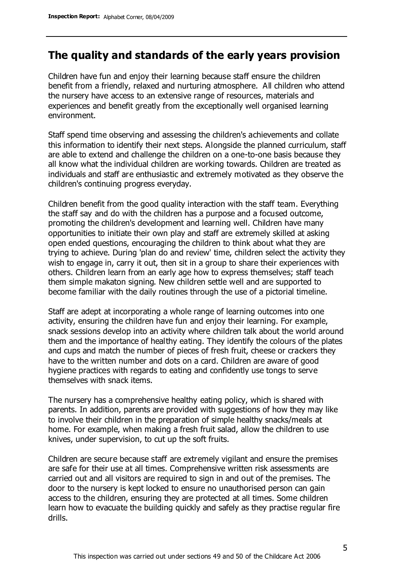#### **The quality and standards of the early years provision**

Children have fun and enjoy their learning because staff ensure the children benefit from a friendly, relaxed and nurturing atmosphere. All children who attend the nursery have access to an extensive range of resources, materials and experiences and benefit greatly from the exceptionally well organised learning environment.

Staff spend time observing and assessing the children's achievements and collate this information to identify their next steps. Alongside the planned curriculum, staff are able to extend and challenge the children on a one-to-one basis because they all know what the individual children are working towards. Children are treated as individuals and staff are enthusiastic and extremely motivated as they observe the children's continuing progress everyday.

Children benefit from the good quality interaction with the staff team. Everything the staff say and do with the children has a purpose and a focused outcome, promoting the children's development and learning well. Children have many opportunities to initiate their own play and staff are extremely skilled at asking open ended questions, encouraging the children to think about what they are trying to achieve. During 'plan do and review' time, children select the activity they wish to engage in, carry it out, then sit in a group to share their experiences with others. Children learn from an early age how to express themselves; staff teach them simple makaton signing. New children settle well and are supported to become familiar with the daily routines through the use of a pictorial timeline.

Staff are adept at incorporating a whole range of learning outcomes into one activity, ensuring the children have fun and enjoy their learning. For example, snack sessions develop into an activity where children talk about the world around them and the importance of healthy eating. They identify the colours of the plates and cups and match the number of pieces of fresh fruit, cheese or crackers they have to the written number and dots on a card. Children are aware of good hygiene practices with regards to eating and confidently use tongs to serve themselves with snack items.

The nursery has a comprehensive healthy eating policy, which is shared with parents. In addition, parents are provided with suggestions of how they may like to involve their children in the preparation of simple healthy snacks/meals at home. For example, when making a fresh fruit salad, allow the children to use knives, under supervision, to cut up the soft fruits.

Children are secure because staff are extremely vigilant and ensure the premises are safe for their use at all times. Comprehensive written risk assessments are carried out and all visitors are required to sign in and out of the premises. The door to the nursery is kept locked to ensure no unauthorised person can gain access to the children, ensuring they are protected at all times. Some children learn how to evacuate the building quickly and safely as they practise regular fire drills.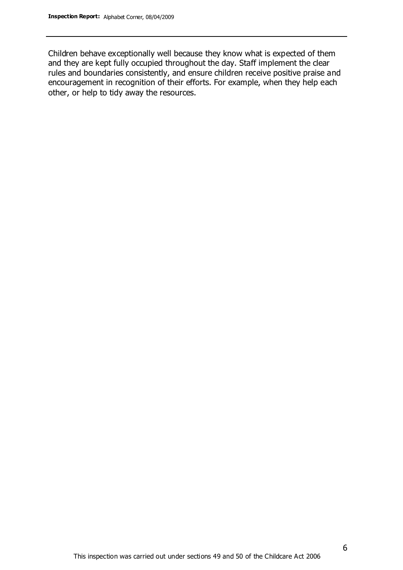Children behave exceptionally well because they know what is expected of them and they are kept fully occupied throughout the day. Staff implement the clear rules and boundaries consistently, and ensure children receive positive praise and encouragement in recognition of their efforts. For example, when they help each other, or help to tidy away the resources.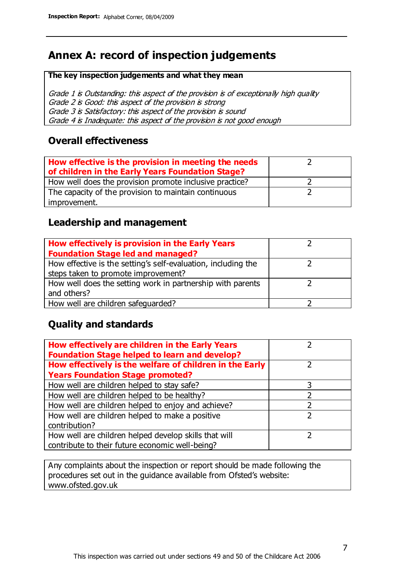# **Annex A: record of inspection judgements**

#### **The key inspection judgements and what they mean**

Grade 1 is Outstanding: this aspect of the provision is of exceptionally high quality Grade 2 is Good: this aspect of the provision is strong Grade 3 is Satisfactory: this aspect of the provision is sound Grade 4 is Inadequate: this aspect of the provision is not good enough

#### **Overall effectiveness**

| How effective is the provision in meeting the needs<br>of children in the Early Years Foundation Stage? |  |
|---------------------------------------------------------------------------------------------------------|--|
| How well does the provision promote inclusive practice?                                                 |  |
| The capacity of the provision to maintain continuous                                                    |  |
| improvement.                                                                                            |  |

#### **Leadership and management**

| How effectively is provision in the Early Years               |  |
|---------------------------------------------------------------|--|
| <b>Foundation Stage led and managed?</b>                      |  |
| How effective is the setting's self-evaluation, including the |  |
| steps taken to promote improvement?                           |  |
| How well does the setting work in partnership with parents    |  |
| and others?                                                   |  |
| How well are children safequarded?                            |  |

#### **Quality and standards**

| How effectively are children in the Early Years<br><b>Foundation Stage helped to learn and develop?</b> |   |
|---------------------------------------------------------------------------------------------------------|---|
| How effectively is the welfare of children in the Early                                                 |   |
| <b>Years Foundation Stage promoted?</b>                                                                 |   |
| How well are children helped to stay safe?                                                              |   |
| How well are children helped to be healthy?                                                             |   |
| How well are children helped to enjoy and achieve?                                                      | 2 |
| How well are children helped to make a positive                                                         | っ |
| contribution?                                                                                           |   |
| How well are children helped develop skills that will                                                   |   |
| contribute to their future economic well-being?                                                         |   |

Any complaints about the inspection or report should be made following the procedures set out in the guidance available from Ofsted's website: www.ofsted.gov.uk